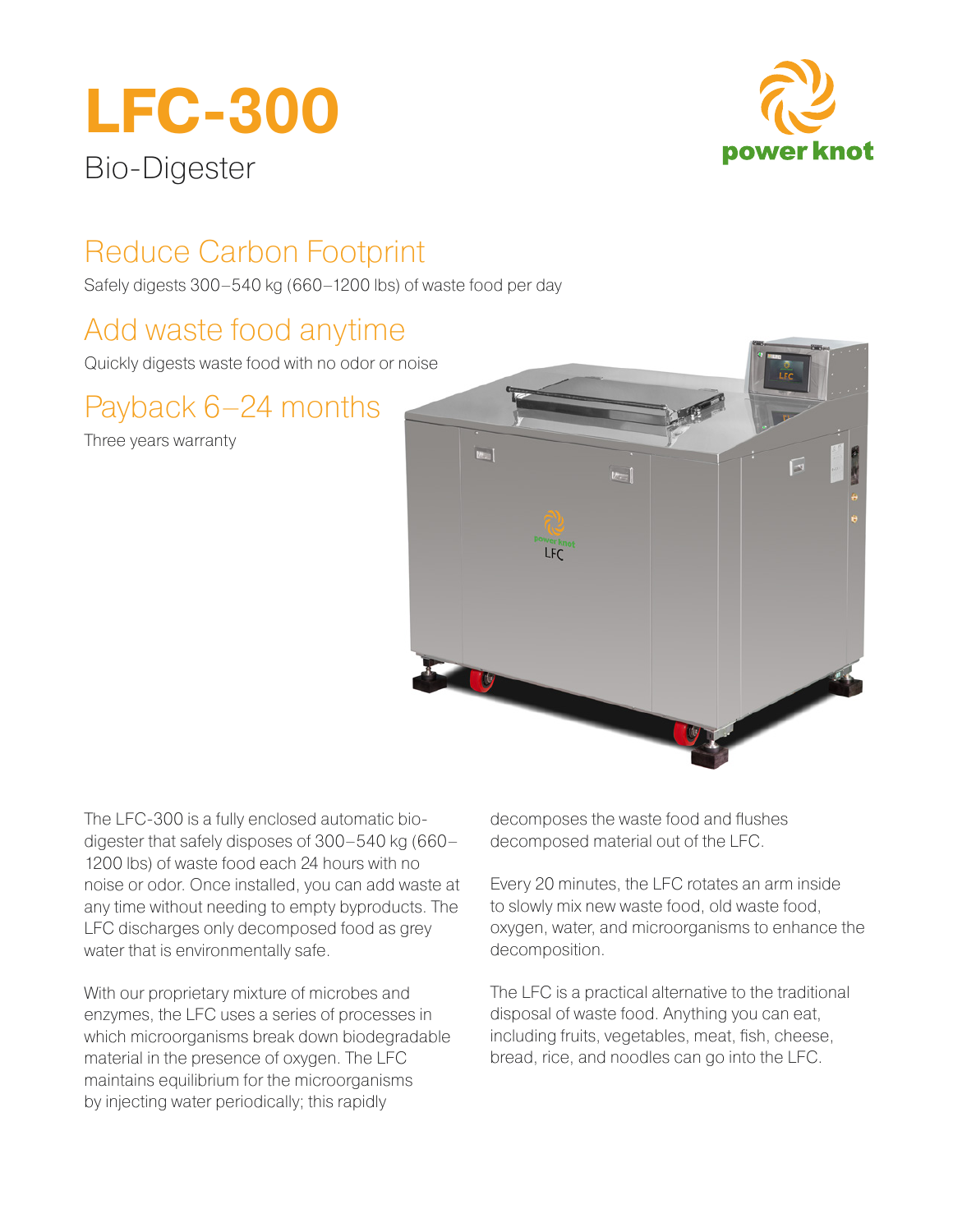# **LFC-300** Bio-Digester



# Reduce Carbon Footprint

Safely digests 300–540 kg (660–1200 lbs) of waste food per day

# Add waste food anytime

Quickly digests waste food with no odor or noise

# Payback 6–24 months

Three years warranty



The LFC-300 is a fully enclosed automatic biodigester that safely disposes of 300–540 kg (660– 1200 lbs) of waste food each 24 hours with no noise or odor. Once installed, you can add waste at any time without needing to empty byproducts. The LFC discharges only decomposed food as grey water that is environmentally safe.

With our proprietary mixture of microbes and enzymes, the LFC uses a series of processes in which microorganisms break down biodegradable material in the presence of oxygen. The LFC maintains equilibrium for the microorganisms by injecting water periodically; this rapidly

decomposes the waste food and flushes decomposed material out of the LFC.

Every 20 minutes, the LFC rotates an arm inside to slowly mix new waste food, old waste food, oxygen, water, and microorganisms to enhance the decomposition.

The LFC is a practical alternative to the traditional disposal of waste food. Anything you can eat, including fruits, vegetables, meat, fish, cheese, bread, rice, and noodles can go into the LFC.